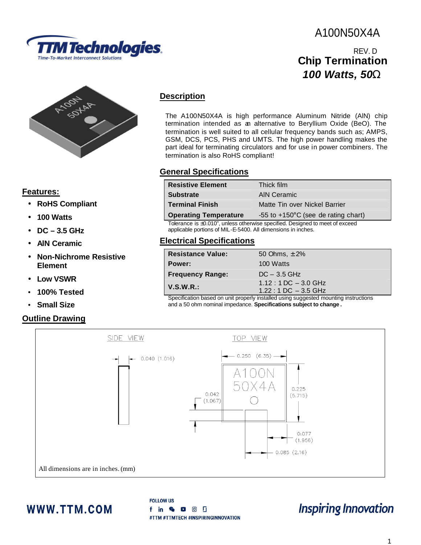

## **Model A1 N50X4A** A100N50X4A

## **Chip Termination** *100 Watts, 50W*  REV. D



#### **Features:**

- **RoHS Compliant**
- **100 Watts**
- **DC – 3.5 GHz**
- **AlN Ceramic**
- **Non-Nichrome Resistive Element**
- **Low VSWR**
- **100% Tested**
- **Small Size**

## **Outline Drawing**

## **Description**

The A100N50X4A is high performance Aluminum Nitride (AlN) chip termination intended as an alternative to Beryllium Oxide (BeO). The termination is well suited to all cellular frequency bands such as; AMPS, GSM, DCS, PCS, PHS and UMTS. The high power handling makes the part ideal for terminating circulators and for use in power combiners. The termination is also RoHS compliant!

## **General Specifications**

| <b>Resistive Element</b>                                                                                                                     | Thick film                                    |
|----------------------------------------------------------------------------------------------------------------------------------------------|-----------------------------------------------|
| <b>Substrate</b>                                                                                                                             | <b>AIN Ceramic</b>                            |
| <b>Terminal Finish</b>                                                                                                                       | Matte Tin over Nickel Barrier                 |
| <b>Operating Temperature</b>                                                                                                                 | -55 to $+150^{\circ}$ C (see de rating chart) |
| Tolerance is ±0.010", unless otherwise specified. Designed to meet of exceed<br>applicable portions of MIL-E-5400. All dimensions in inches. |                                               |

## **Electrical Specifications**

| <b>Resistance Value:</b> | 50 Ohms, $\pm 2\%$                                                                                              |
|--------------------------|-----------------------------------------------------------------------------------------------------------------|
| Power:                   | 100 Watts                                                                                                       |
| <b>Frequency Range:</b>  | $DC - 3.5$ GHz                                                                                                  |
| V.S.W.R.:                | $1.12:1$ DC $-3.0$ GHz                                                                                          |
|                          | $1.22:1$ DC $-3.5$ GHz<br>Concification becade an unit properly installed uning ouggested mounting instructions |
|                          |                                                                                                                 |

Specification based on unit properly installed using suggested mounting instructions and a 50 ohm nominal impedance. **Specifications subject to change .**



## WWW.TTM.COM

**FOLLOW US** f in & D O D #TTM #TTMTECH #INSPIRINGINNOVATION

# **Inspiring Innovation**